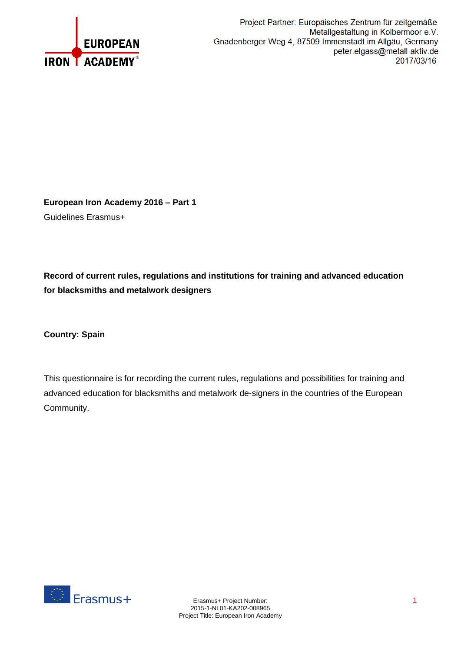

**European Iron Academy 2016 – Part 1** Guidelines Erasmus+

**Record of current rules, regulations and institutions for training and advanced education for blacksmiths and metalwork designers**

**Country: Spain**

This questionnaire is for recording the current rules, regulations and possibilities for training and advanced education for blacksmiths and metalwork de-signers in the countries of the European Community.

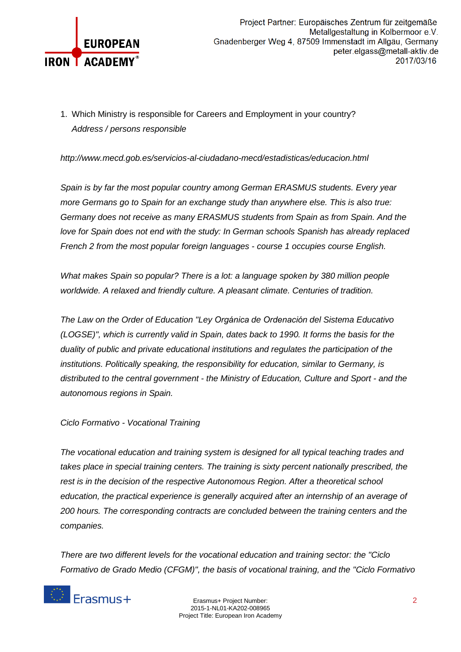

1. Which Ministry is responsible for Careers and Employment in your country? *Address / persons responsible* 

*http://www.mecd.gob.es/servicios-al-ciudadano-mecd/estadisticas/educacion.html*

*Spain is by far the most popular country among German ERASMUS students. Every year more Germans go to Spain for an exchange study than anywhere else. This is also true: Germany does not receive as many ERASMUS students from Spain as from Spain. And the love for Spain does not end with the study: In German schools Spanish has already replaced French 2 from the most popular foreign languages - course 1 occupies course English.*

*What makes Spain so popular? There is a lot: a language spoken by 380 million people worldwide. A relaxed and friendly culture. A pleasant climate. Centuries of tradition.*

*The Law on the Order of Education "Ley Orgánica de Ordenación del Sistema Educativo (LOGSE)", which is currently valid in Spain, dates back to 1990. It forms the basis for the duality of public and private educational institutions and regulates the participation of the institutions. Politically speaking, the responsibility for education, similar to Germany, is distributed to the central government - the Ministry of Education, Culture and Sport - and the autonomous regions in Spain.*

*Ciclo Formativo - Vocational Training*

*The vocational education and training system is designed for all typical teaching trades and takes place in special training centers. The training is sixty percent nationally prescribed, the rest is in the decision of the respective Autonomous Region. After a theoretical school education, the practical experience is generally acquired after an internship of an average of 200 hours. The corresponding contracts are concluded between the training centers and the companies.*

*There are two different levels for the vocational education and training sector: the "Ciclo Formativo de Grado Medio (CFGM)", the basis of vocational training, and the "Ciclo Formativo*

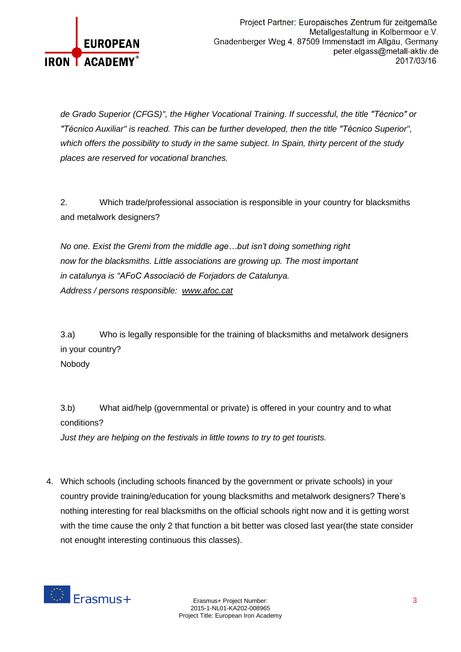

*de Grado Superior (CFGS)", the Higher Vocational Training. If successful, the title "Técnico" or "Técnico Auxiliar" is reached. This can be further developed, then the title "Técnico Superior", which offers the possibility to study in the same subject. In Spain, thirty percent of the study places are reserved for vocational branches.*

2. Which trade/professional association is responsible in your country for blacksmiths and metalwork designers?

*No one. Exist the Gremi from the middle age…but isn't doing something right now for the blacksmiths. Little associations are growing up. The most important in catalunya is "AFoC Associació de Forjadors de Catalunya. Address / persons responsible: [www.afoc.cat](http://www.afoc.cat/)*

3.a) Who is legally responsible for the training of blacksmiths and metalwork designers in your country? Nobody

3.b) What aid/help (governmental or private) is offered in your country and to what conditions? *Just they are helping on the festivals in little towns to try to get tourists.*

4. Which schools (including schools financed by the government or private schools) in your country provide training/education for young blacksmiths and metalwork designers? There's nothing interesting for real blacksmiths on the official schools right now and it is getting worst with the time cause the only 2 that function a bit better was closed last year(the state consider not enought interesting continuous this classes).

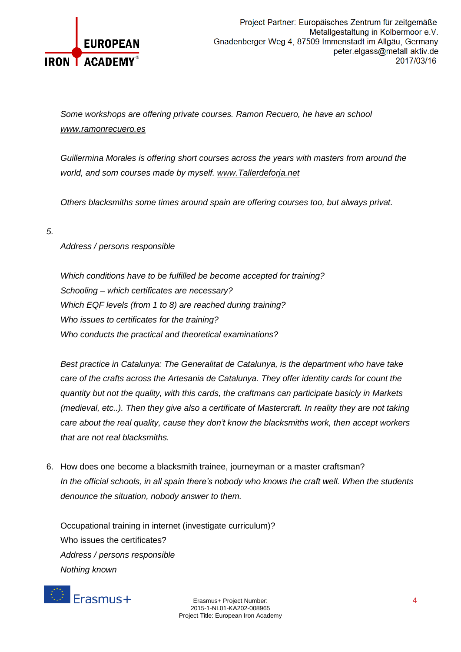

*Some workshops are offering private courses. Ramon Recuero, he have an school [www.ramonrecuero.es](http://www.ramonrecuero.es/)* 

*Guillermina Morales is offering short courses across the years with masters from around the world, and som courses made by myself. [www.Tallerdeforja.net](http://www.tallerdeforja.net/)*

*Others blacksmiths some times around spain are offering courses too, but always privat.*

#### *5.*

# *Address / persons responsible*

*Which conditions have to be fulfilled be become accepted for training? Schooling – which certificates are necessary? Which EQF levels (from 1 to 8) are reached during training? Who issues to certificates for the training? Who conducts the practical and theoretical examinations?*

*Best practice in Catalunya: The Generalitat de Catalunya, is the department who have take care of the crafts across the Artesania de Catalunya. They offer identity cards for count the quantity but not the quality, with this cards, the craftmans can participate basicly in Markets (medieval, etc..). Then they give also a certificate of Mastercraft. In reality they are not taking care about the real quality, cause they don't know the blacksmiths work, then accept workers that are not real blacksmiths.*

6. How does one become a blacksmith trainee, journeyman or a master craftsman? *In the official schools, in all spain there's nobody who knows the craft well. When the students denounce the situation, nobody answer to them.*

Occupational training in internet (investigate curriculum)? Who issues the certificates? *Address / persons responsible Nothing known*



Erasmus+ Project Number: 4 2015-1-NL01-KA202-008965 Project Title: European Iron Academy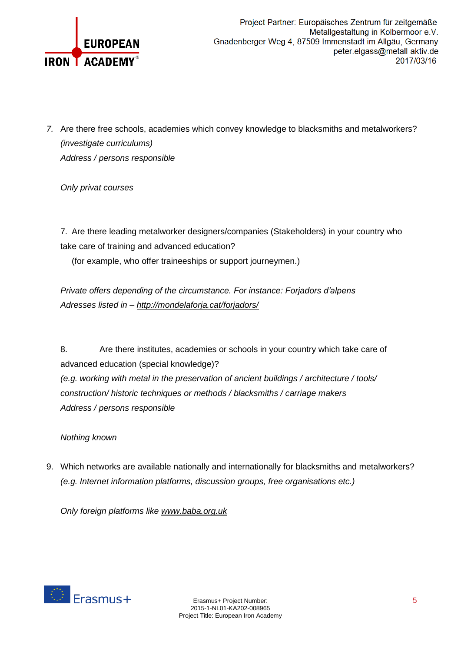

*7.* Are there free schools, academies which convey knowledge to blacksmiths and metalworkers? *(investigate curriculums) Address / persons responsible*

*Only privat courses*

7. Are there leading metalworker designers/companies (Stakeholders) in your country who take care of training and advanced education?

(for example, who offer traineeships or support journeymen.)

*Private offers depending of the circumstance. For instance: Forjadors d'alpens Adresses listed in – <http://mondelaforja.cat/forjadors/>*

8. Are there institutes, academies or schools in your country which take care of advanced education (special knowledge)? *(e.g. working with metal in the preservation of ancient buildings / architecture / tools/ construction/ historic techniques or methods / blacksmiths / carriage makers Address / persons responsible*

*Nothing known*

9. Which networks are available nationally and internationally for blacksmiths and metalworkers? *(e.g. Internet information platforms, discussion groups, free organisations etc.)*

*Only foreign platforms like [www.baba.org.uk](http://www.baba.org.uk/)*

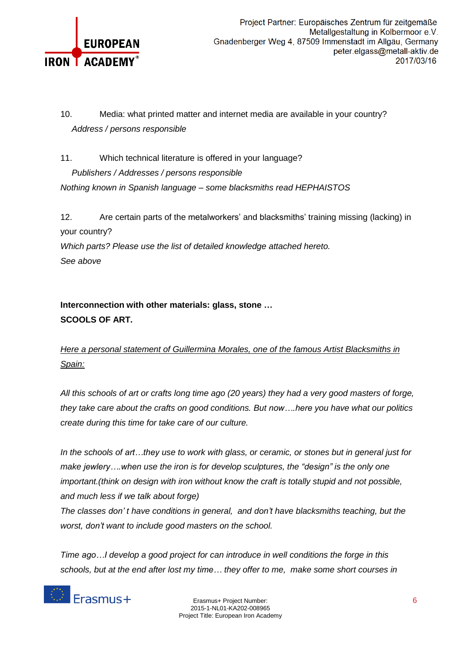

10. Media: what printed matter and internet media are available in your country? *Address / persons responsible*

11. Which technical literature is offered in your language? *Publishers / Addresses / persons responsible Nothing known in Spanish language – some blacksmiths read HEPHAISTOS*

12. Are certain parts of the metalworkers' and blacksmiths' training missing (lacking) in your country? *Which parts? Please use the list of detailed knowledge attached hereto. See above*

# **Interconnection with other materials: glass, stone … SCOOLS OF ART.**

*Here a personal statement of Guillermina Morales, one of the famous Artist Blacksmiths in Spain:*

All this schools of art or crafts long time ago (20 years) they had a very good masters of forge, *they take care about the crafts on good conditions. But now….here you have what our politics create during this time for take care of our culture.*

In the schools of art...they use to work with glass, or ceramic, or stones but in general just for *make jewlery….when use the iron is for develop sculptures, the "design" is the only one important.(think on design with iron without know the craft is totally stupid and not possible, and much less if we talk about forge)*

*The classes don' t have conditions in general, and don't have blacksmiths teaching, but the worst, don't want to include good masters on the school.*

*Time ago…I develop a good project for can introduce in well conditions the forge in this schools, but at the end after lost my time… they offer to me, make some short courses in* 

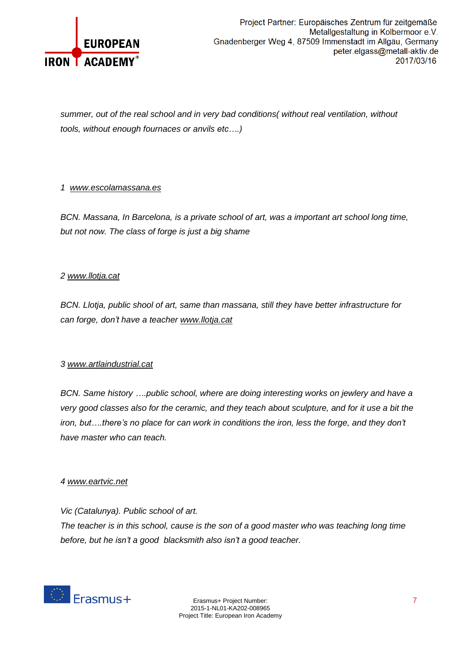

*summer, out of the real school and in very bad conditions( without real ventilation, without tools, without enough fournaces or anvils etc….)*

### *1 [www.escolamassana.es](http://www.escolamassana.es/)*

*BCN. Massana, In Barcelona, is a private school of art, was a important art school long time, but not now. The class of forge is just a big shame*

### *2 [www.llotja.cat](http://www.llotja.cat/)*

*BCN. Llotja, public shool of art, same than massana, still they have better infrastructure for can forge, don't have a teacher [www.llotja.cat](http://www.llotja.cat/)*

## *3 [www.artlaindustrial.cat](http://www.artlaindustrial.cat/)*

*BCN. Same history ….public school, where are doing interesting works on jewlery and have a* very good classes also for the ceramic, and they teach about sculpture, and for it use a bit the *iron, but….there's no place for can work in conditions the iron, less the forge, and they don't have master who can teach.*

#### *4 [www.eartvic.net](http://www.eartvic.net/)*

*Vic (Catalunya). Public school of art. The teacher is in this school, cause is the son of a good master who was teaching long time before, but he isn't a good blacksmith also isn't a good teacher.*